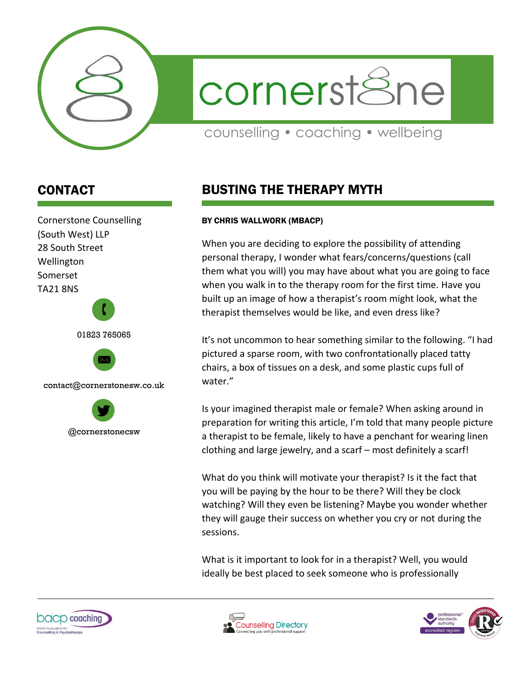

cornerstSne

counselling • coaching • wellbeing

## CONTACT

Cornerstone Counselling (South West) LLP 28 South Street Wellington Somerset TA21 8NS 01823 765065  $\mathbf{r}$ 





## BUSTING THE THERAPY MYTH

## BY CHRIS WALLWORK (MBACP)

When you are deciding to explore the possibility of attending personal therapy, I wonder what fears/concerns/questions (call them what you will) you may have about what you are going to face when you walk in to the therapy room for the first time. Have you built up an image of how a therapist's room might look, what the therapist themselves would be like, and even dress like?

It's not uncommon to hear something similar to the following. "I had pictured a sparse room, with two confrontationally placed tatty chairs, a box of tissues on a desk, and some plastic cups full of water."

Is your imagined therapist male or female? When asking around in preparation for writing this article, I'm told that many people picture a therapist to be female, likely to have a penchant for wearing linen clothing and large jewelry, and a scarf – most definitely a scarf!

What do you think will motivate your therapist? Is it the fact that you will be paying by the hour to be there? Will they be clock watching? Will they even be listening? Maybe you wonder whether they will gauge their success on whether you cry or not during the sessions.

What is it important to look for in a therapist? Well, you would ideally be best placed to seek someone who is professionally